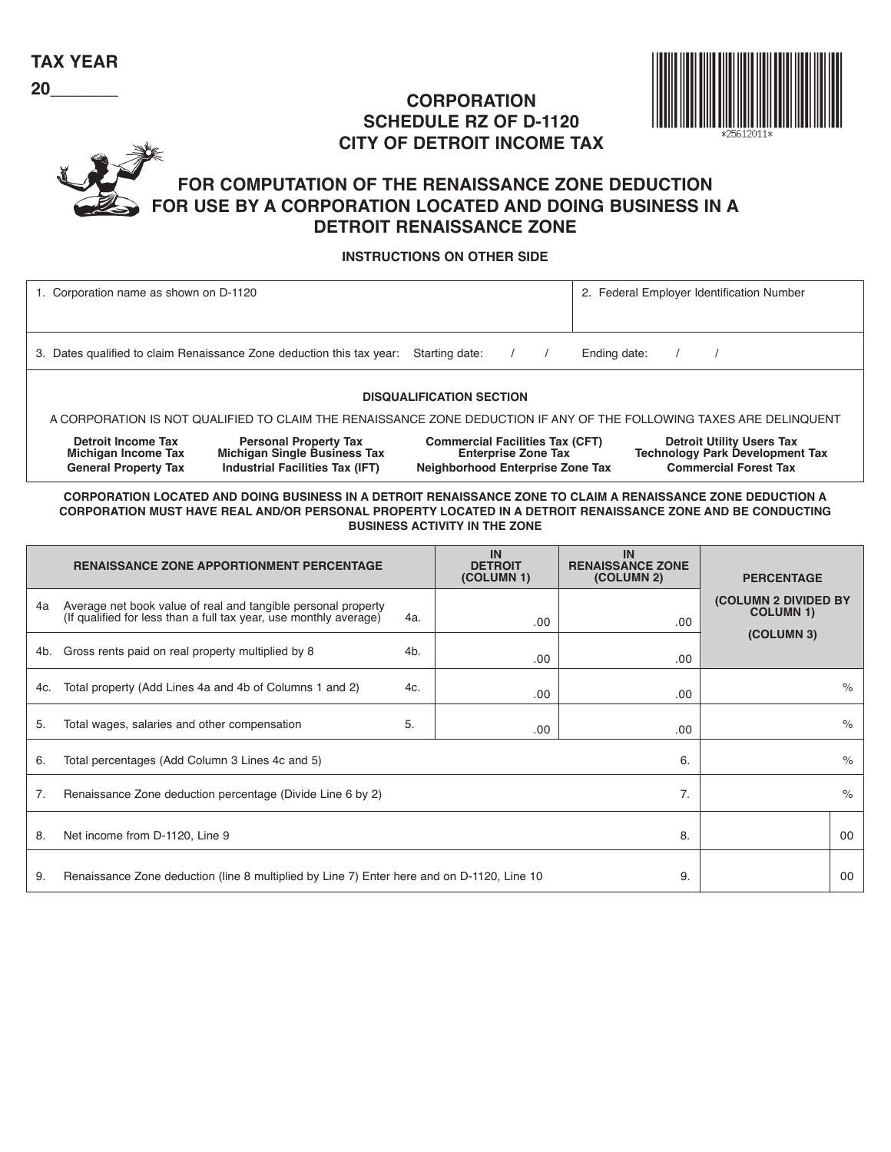## **CORPORATION SCHEDULE RZ OF D-1120 CITY OF DETROIT INCOME TAX**



## **FOR COMPUTATION OF THE RENAISSANCE ZONE DEDUCTION FOR USE BY A CORPORATION LOCATED AND DOING BUSINESS IN A DETROIT RENAISSANCE ZONE**

### **INSTRUCTIONS ON OTHER SIDE**

| 1. Corporation name as shown on D-1120                                                                              |                                                                                                               |                                                                                                          | 2. Federal Employer Identification Number                                                                  |  |  |  |  |  |  |
|---------------------------------------------------------------------------------------------------------------------|---------------------------------------------------------------------------------------------------------------|----------------------------------------------------------------------------------------------------------|------------------------------------------------------------------------------------------------------------|--|--|--|--|--|--|
|                                                                                                                     | 3. Dates qualified to claim Renaissance Zone deduction this tax year:                                         | Starting date:                                                                                           | Ending date:                                                                                               |  |  |  |  |  |  |
| <b>DISQUALIFICATION SECTION</b>                                                                                     |                                                                                                               |                                                                                                          |                                                                                                            |  |  |  |  |  |  |
| A CORPORATION IS NOT QUALIFIED TO CLAIM THE RENAISSANCE ZONE DEDUCTION IF ANY OF THE FOLLOWING TAXES ARE DELINQUENT |                                                                                                               |                                                                                                          |                                                                                                            |  |  |  |  |  |  |
| <b>Detroit Income Tax</b><br>Michigan Income Tax<br><b>General Property Tax</b>                                     | <b>Personal Property Tax</b><br><b>Michigan Single Business Tax</b><br><b>Industrial Facilities Tax (IFT)</b> | <b>Commercial Facilities Tax (CFT)</b><br><b>Enterprise Zone Tax</b><br>Neighborhood Enterprise Zone Tax | <b>Detroit Utility Users Tax</b><br><b>Technology Park Development Tax</b><br><b>Commercial Forest Tax</b> |  |  |  |  |  |  |

**CORPORA TION LOCA TED AND DOING BUSINESS IN A DETROIT RENAISSANCE ZONE T O CLAIM A RENAISSANCE ZONE DEDUCTION A CORPORATION MUST HAVE REAL AND/OR PERSONAL PROPERTY LOCATED IN A DETROIT RENAISSANCE ZONE AND BE CONDUCTING BUSINESS ACTIVITY IN THE ZONE** 

|                                                                        | <b>RENAISSANCE ZONE APPORTIONMENT PERCENTAGE</b>                                                                                   | IN<br><b>DETROIT</b><br>(COLUMN 1) | <b>IN</b><br><b>RENAISSANCE ZONE</b><br>(COLUMN 2) | <b>PERCENTAGE</b> |                                                  |               |
|------------------------------------------------------------------------|------------------------------------------------------------------------------------------------------------------------------------|------------------------------------|----------------------------------------------------|-------------------|--------------------------------------------------|---------------|
| 4a                                                                     | Average net book value of real and tangible personal property<br>(If qualified for less than a full tax year, use monthly average) |                                    | .00.                                               | .00               | <b>(COLUMN 2 DIVIDED BY)</b><br><b>COLUMN 1)</b> |               |
| 4b.                                                                    | Gross rents paid on real property multiplied by 8                                                                                  |                                    | .00                                                | .00               | (COLUMN 3)                                       |               |
| 4c.                                                                    | Total property (Add Lines 4a and 4b of Columns 1 and 2)                                                                            |                                    | .00.                                               | .00               |                                                  | $\%$          |
| 5.                                                                     | Total wages, salaries and other compensation                                                                                       | 5.                                 | .00                                                | .00               |                                                  | $\%$          |
| 6.<br>Total percentages (Add Column 3 Lines 4c and 5)<br>6.            |                                                                                                                                    |                                    |                                                    |                   |                                                  | $\frac{1}{2}$ |
| 7.<br>7.<br>Renaissance Zone deduction percentage (Divide Line 6 by 2) |                                                                                                                                    |                                    |                                                    |                   |                                                  | $\%$          |
| 8.                                                                     | Net income from D-1120, Line 9                                                                                                     |                                    | 00                                                 |                   |                                                  |               |
| 9.                                                                     | Renaissance Zone deduction (line 8 multiplied by Line 7) Enter here and on D-1120, Line 10                                         |                                    | 00                                                 |                   |                                                  |               |